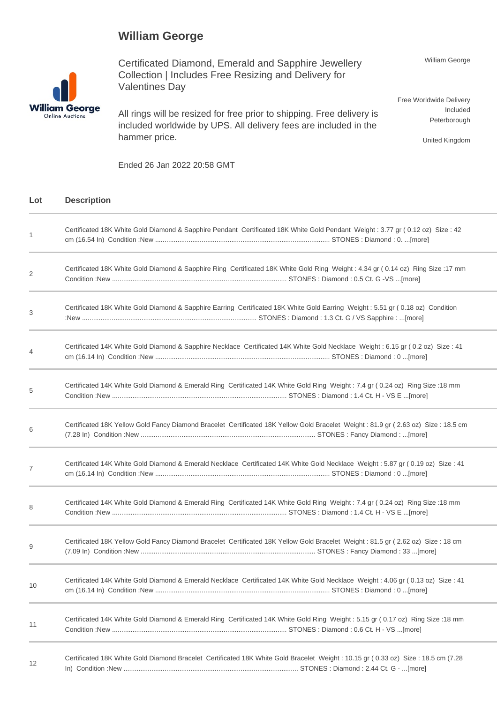## **William George**



Certificated Diamond, Emerald and Sapphire Jewellery Collection | Includes Free Resizing and Delivery for Valentines Day

All rings will be resized for free prior to shipping. Free delivery is included worldwide by UPS. All delivery fees are included in the hammer price.

William George

Free Worldwide Delivery Included Peterborough

United Kingdom

Ended 26 Jan 2022 20:58 GMT

## **Lot Description**

| 1  | Certificated 18K White Gold Diamond & Sapphire Pendant Certificated 18K White Gold Pendant Weight: 3.77 gr (0.12 oz) Size: 42     |
|----|-----------------------------------------------------------------------------------------------------------------------------------|
| 2  | Certificated 18K White Gold Diamond & Sapphire Ring Certificated 18K White Gold Ring Weight: 4.34 gr (0.14 oz) Ring Size: 17 mm   |
| 3  | Certificated 18K White Gold Diamond & Sapphire Earring Certificated 18K White Gold Earring Weight: 5.51 gr (0.18 oz) Condition    |
| 4  | Certificated 14K White Gold Diamond & Sapphire Necklace Certificated 14K White Gold Necklace Weight: 6.15 gr (0.2 oz) Size: 41    |
| 5  | Certificated 14K White Gold Diamond & Emerald Ring Certificated 14K White Gold Ring Weight: 7.4 gr (0.24 oz) Ring Size: 18 mm     |
| 6  | Certificated 18K Yellow Gold Fancy Diamond Bracelet Certificated 18K Yellow Gold Bracelet Weight: 81.9 gr (2.63 oz) Size: 18.5 cm |
| 7  | Certificated 14K White Gold Diamond & Emerald Necklace Certificated 14K White Gold Necklace Weight: 5.87 gr (0.19 oz) Size: 41    |
| 8  | Certificated 14K White Gold Diamond & Emerald Ring Certificated 14K White Gold Ring Weight: 7.4 gr (0.24 oz) Ring Size: 18 mm     |
| 9  | Certificated 18K Yellow Gold Fancy Diamond Bracelet Certificated 18K Yellow Gold Bracelet Weight: 81.5 gr (2.62 oz) Size: 18 cm   |
| 10 | Certificated 14K White Gold Diamond & Emerald Necklace Certificated 14K White Gold Necklace Weight: 4.06 gr (0.13 oz) Size: 41    |
| 11 | Certificated 14K White Gold Diamond & Emerald Ring Certificated 14K White Gold Ring Weight: 5.15 gr (0.17 oz) Ring Size: 18 mm    |
| 12 | Certificated 18K White Gold Diamond Bracelet Certificated 18K White Gold Bracelet Weight: 10.15 gr (0.33 oz) Size: 18.5 cm (7.28  |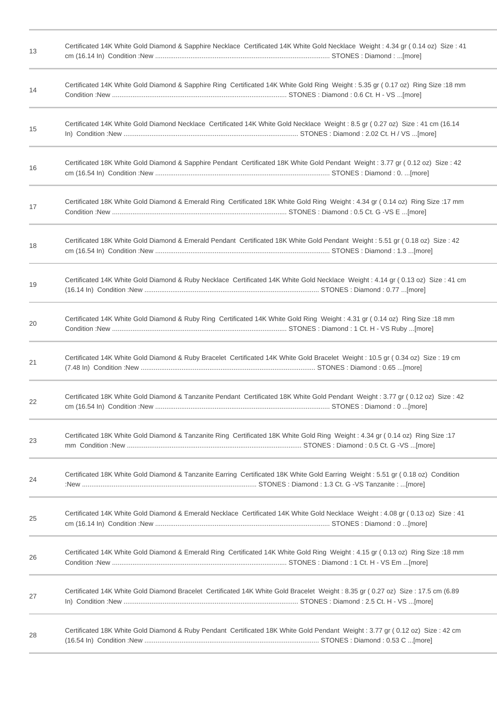| 13 | Certificated 14K White Gold Diamond & Sapphire Necklace Certificated 14K White Gold Necklace Weight: 4.34 gr (0.14 oz) Size: 41 |
|----|---------------------------------------------------------------------------------------------------------------------------------|
| 14 | Certificated 14K White Gold Diamond & Sapphire Ring Certificated 14K White Gold Ring Weight: 5.35 gr (0.17 oz) Ring Size: 18 mm |
| 15 | Certificated 14K White Gold Diamond Necklace Certificated 14K White Gold Necklace Weight: 8.5 gr (0.27 oz) Size: 41 cm (16.14   |
| 16 | Certificated 18K White Gold Diamond & Sapphire Pendant Certificated 18K White Gold Pendant Weight: 3.77 gr (0.12 oz) Size: 42   |
| 17 | Certificated 18K White Gold Diamond & Emerald Ring Certificated 18K White Gold Ring Weight: 4.34 gr (0.14 oz) Ring Size: 17 mm  |
| 18 | Certificated 18K White Gold Diamond & Emerald Pendant Certificated 18K White Gold Pendant Weight: 5.51 gr (0.18 oz) Size: 42    |
| 19 | Certificated 14K White Gold Diamond & Ruby Necklace Certificated 14K White Gold Necklace Weight: 4.14 gr (0.13 oz) Size: 41 cm  |
| 20 | Certificated 14K White Gold Diamond & Ruby Ring Certificated 14K White Gold Ring Weight: 4.31 gr (0.14 oz) Ring Size: 18 mm     |
| 21 | Certificated 14K White Gold Diamond & Ruby Bracelet Certificated 14K White Gold Bracelet Weight: 10.5 gr (0.34 oz) Size: 19 cm  |
| 22 | Certificated 18K White Gold Diamond & Tanzanite Pendant Certificated 18K White Gold Pendant Weight: 3.77 gr (0.12 oz) Size: 42  |
| 23 | Certificated 18K White Gold Diamond & Tanzanite Ring Certificated 18K White Gold Ring Weight: 4.34 gr (0.14 oz) Ring Size:17    |
| 24 | Certificated 18K White Gold Diamond & Tanzanite Earring Certificated 18K White Gold Earring Weight: 5.51 gr (0.18 oz) Condition |
| 25 | Certificated 14K White Gold Diamond & Emerald Necklace Certificated 14K White Gold Necklace Weight: 4.08 gr (0.13 oz) Size: 41  |
| 26 | Certificated 14K White Gold Diamond & Emerald Ring Certificated 14K White Gold Ring Weight: 4.15 gr (0.13 oz) Ring Size: 18 mm  |
| 27 | Certificated 14K White Gold Diamond Bracelet Certificated 14K White Gold Bracelet Weight: 8.35 gr (0.27 oz) Size: 17.5 cm (6.89 |
| 28 | Certificated 18K White Gold Diamond & Ruby Pendant Certificated 18K White Gold Pendant Weight: 3.77 gr (0.12 oz) Size: 42 cm    |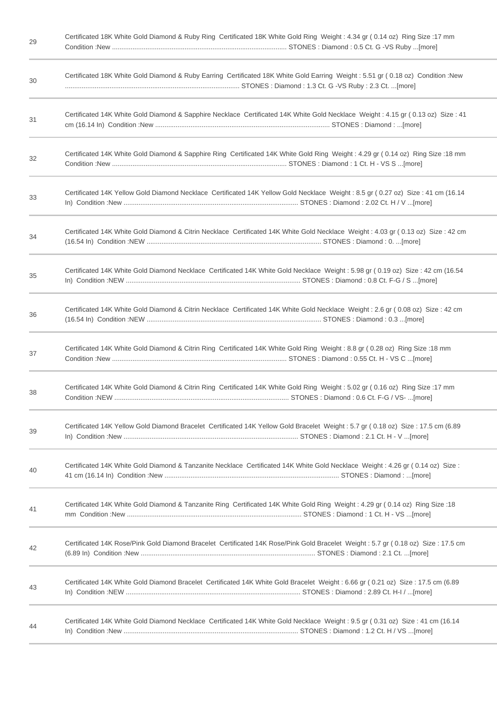| 29 | Certificated 18K White Gold Diamond & Ruby Ring Certificated 18K White Gold Ring Weight: 4.34 gr (0.14 oz) Ring Size: 17 mm      |
|----|----------------------------------------------------------------------------------------------------------------------------------|
| 30 | Certificated 18K White Gold Diamond & Ruby Earring Certificated 18K White Gold Earring Weight: 5.51 gr (0.18 oz) Condition:New   |
| 31 | Certificated 14K White Gold Diamond & Sapphire Necklace Certificated 14K White Gold Necklace Weight: 4.15 gr (0.13 oz) Size: 41  |
| 32 | Certificated 14K White Gold Diamond & Sapphire Ring Certificated 14K White Gold Ring Weight: 4.29 gr (0.14 oz) Ring Size: 18 mm  |
| 33 | Certificated 14K Yellow Gold Diamond Necklace Certificated 14K Yellow Gold Necklace Weight: 8.5 gr (0.27 oz) Size: 41 cm (16.14  |
| 34 | Certificated 14K White Gold Diamond & Citrin Necklace Certificated 14K White Gold Necklace Weight: 4.03 gr (0.13 oz) Size: 42 cm |
| 35 | Certificated 14K White Gold Diamond Necklace Certificated 14K White Gold Necklace Weight: 5.98 gr (0.19 oz) Size: 42 cm (16.54   |
| 36 | Certificated 14K White Gold Diamond & Citrin Necklace Certificated 14K White Gold Necklace Weight: 2.6 gr (0.08 oz) Size: 42 cm  |
| 37 | Certificated 14K White Gold Diamond & Citrin Ring Certificated 14K White Gold Ring Weight: 8.8 gr (0.28 oz) Ring Size: 18 mm     |
| 38 | Certificated 14K White Gold Diamond & Citrin Ring Certificated 14K White Gold Ring Weight: 5.02 gr (0.16 oz) Ring Size: 17 mm    |
| 39 | Certificated 14K Yellow Gold Diamond Bracelet Certificated 14K Yellow Gold Bracelet Weight: 5.7 gr (0.18 oz) Size: 17.5 cm (6.89 |
| 40 | Certificated 14K White Gold Diamond & Tanzanite Necklace Certificated 14K White Gold Necklace Weight: 4.26 gr (0.14 oz) Size:    |
| 41 | Oertificated 14K White Gold Diamond & Tanzanite Ring Certificated 14K White Gold Ring Weight: 4.29 gr (0.14 oz) Ring Size:18     |
| 42 | Certificated 14K Rose/Pink Gold Diamond Bracelet Certificated 14K Rose/Pink Gold Bracelet Weight: 5.7 gr (0.18 oz) Size: 17.5 cm |
| 43 | Certificated 14K White Gold Diamond Bracelet Certificated 14K White Gold Bracelet Weight: 6.66 gr (0.21 oz) Size: 17.5 cm (6.89  |
| 44 | Certificated 14K White Gold Diamond Necklace Certificated 14K White Gold Necklace Weight: 9.5 gr (0.31 oz) Size: 41 cm (16.14    |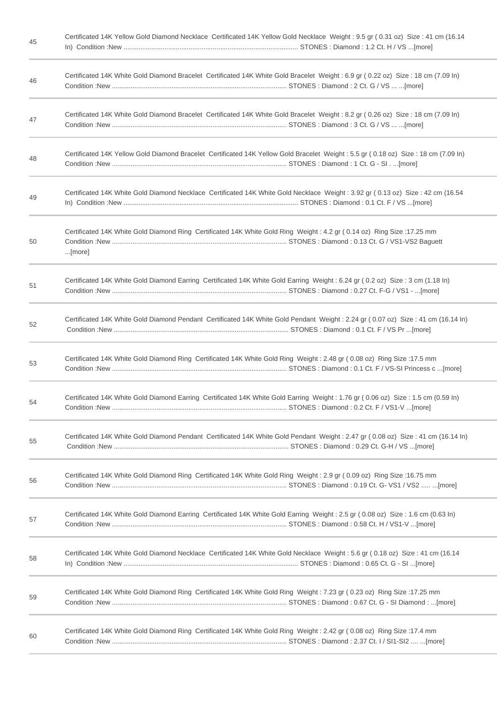| 45 | Certificated 14K Yellow Gold Diamond Necklace Certificated 14K Yellow Gold Necklace Weight: 9.5 gr (0.31 oz) Size: 41 cm (16.14    |
|----|------------------------------------------------------------------------------------------------------------------------------------|
| 46 | Certificated 14K White Gold Diamond Bracelet Certificated 14K White Gold Bracelet Weight: 6.9 gr (0.22 oz) Size: 18 cm (7.09 ln)   |
| 47 | Certificated 14K White Gold Diamond Bracelet Certificated 14K White Gold Bracelet Weight: 8.2 gr (0.26 oz) Size: 18 cm (7.09 ln)   |
| 48 | Certificated 14K Yellow Gold Diamond Bracelet Certificated 14K Yellow Gold Bracelet Weight: 5.5 gr (0.18 oz) Size: 18 cm (7.09 ln) |
| 49 | Certificated 14K White Gold Diamond Necklace Certificated 14K White Gold Necklace Weight: 3.92 gr (0.13 oz) Size: 42 cm (16.54     |
| 50 | Certificated 14K White Gold Diamond Ring Certificated 14K White Gold Ring Weight: 4.2 gr (0.14 oz) Ring Size: 17.25 mm<br>[more]   |
| 51 | Certificated 14K White Gold Diamond Earring Certificated 14K White Gold Earring Weight: 6.24 gr (0.2 oz) Size: 3 cm (1.18 ln)      |
| 52 | Certificated 14K White Gold Diamond Pendant Certificated 14K White Gold Pendant Weight: 2.24 gr (0.07 oz) Size: 41 cm (16.14 ln)   |
| 53 | Certificated 14K White Gold Diamond Ring Certificated 14K White Gold Ring Weight: 2.48 gr (0.08 oz) Ring Size:17.5 mm              |
| 54 | Certificated 14K White Gold Diamond Earring Certificated 14K White Gold Earring Weight: 1.76 gr (0.06 oz) Size: 1.5 cm (0.59 In)   |
| 55 | Certificated 14K White Gold Diamond Pendant Certificated 14K White Gold Pendant Weight: 2.47 gr (0.08 oz) Size: 41 cm (16.14 ln)   |
| 56 | Certificated 14K White Gold Diamond Ring Certificated 14K White Gold Ring Weight: 2.9 gr (0.09 oz) Ring Size:16.75 mm              |
| 57 | Certificated 14K White Gold Diamond Earring Certificated 14K White Gold Earring Weight: 2.5 gr (0.08 oz) Size: 1.6 cm (0.63 ln)    |
| 58 | Certificated 14K White Gold Diamond Necklace Certificated 14K White Gold Necklace Weight: 5.6 gr (0.18 oz) Size: 41 cm (16.14      |
| 59 | Certificated 14K White Gold Diamond Ring Certificated 14K White Gold Ring Weight: 7.23 gr (0.23 oz) Ring Size: 17.25 mm            |
| 60 | Certificated 14K White Gold Diamond Ring Certificated 14K White Gold Ring Weight: 2.42 gr (0.08 oz) Ring Size:17.4 mm              |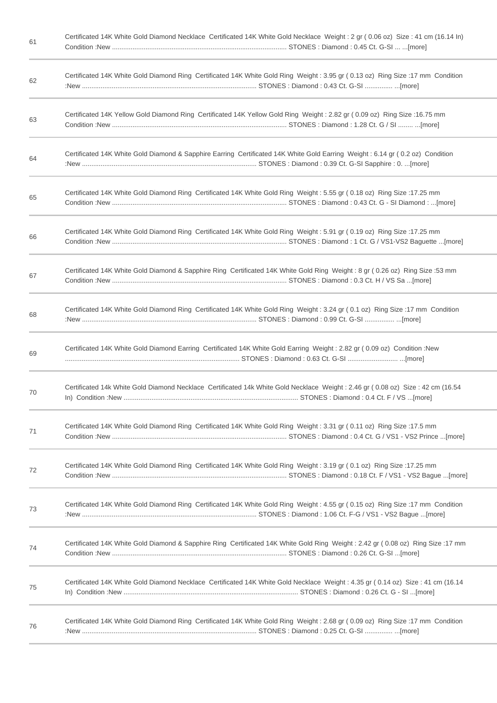| 61 | Certificated 14K White Gold Diamond Necklace Certificated 14K White Gold Necklace Weight: 2 gr (0.06 oz) Size: 41 cm (16.14 ln) |
|----|---------------------------------------------------------------------------------------------------------------------------------|
| 62 | Certificated 14K White Gold Diamond Ring Certificated 14K White Gold Ring Weight: 3.95 gr (0.13 oz) Ring Size:17 mm Condition   |
| 63 | Certificated 14K Yellow Gold Diamond Ring Certificated 14K Yellow Gold Ring Weight: 2.82 gr (0.09 oz) Ring Size: 16.75 mm       |
| 64 | Certificated 14K White Gold Diamond & Sapphire Earring Certificated 14K White Gold Earring Weight: 6.14 gr (0.2 oz) Condition   |
| 65 | Certificated 14K White Gold Diamond Ring Certificated 14K White Gold Ring Weight: 5.55 gr (0.18 oz) Ring Size: 17.25 mm         |
| 66 | Certificated 14K White Gold Diamond Ring Certificated 14K White Gold Ring Weight: 5.91 gr (0.19 oz) Ring Size: 17.25 mm         |
| 67 | Certificated 14K White Gold Diamond & Sapphire Ring Certificated 14K White Gold Ring Weight: 8 gr (0.26 oz) Ring Size: 53 mm    |
| 68 | Certificated 14K White Gold Diamond Ring Certificated 14K White Gold Ring Weight: 3.24 gr (0.1 oz) Ring Size:17 mm Condition    |
| 69 | Certificated 14K White Gold Diamond Earring Certificated 14K White Gold Earring Weight: 2.82 gr (0.09 oz) Condition :New        |
| 70 | Certificated 14k White Gold Diamond Necklace Certificated 14k White Gold Necklace Weight: 2.46 gr (0.08 oz) Size: 42 cm (16.54  |
| 71 | Certificated 14K White Gold Diamond Ring Certificated 14K White Gold Ring Weight: 3.31 gr (0.11 oz) Ring Size: 17.5 mm          |
| 72 | Certificated 14K White Gold Diamond Ring Certificated 14K White Gold Ring Weight: 3.19 gr (0.1 oz) Ring Size: 17.25 mm          |
| 73 | Certificated 14K White Gold Diamond Ring Certificated 14K White Gold Ring Weight: 4.55 gr (0.15 oz) Ring Size:17 mm Condition   |
| 74 | Certificated 14K White Gold Diamond & Sapphire Ring Certificated 14K White Gold Ring Weight: 2.42 gr (0.08 oz) Ring Size: 17 mm |
| 75 | Certificated 14K White Gold Diamond Necklace Certificated 14K White Gold Necklace Weight: 4.35 gr (0.14 oz) Size: 41 cm (16.14  |
| 76 | Certificated 14K White Gold Diamond Ring Certificated 14K White Gold Ring Weight: 2.68 gr (0.09 oz) Ring Size:17 mm Condition   |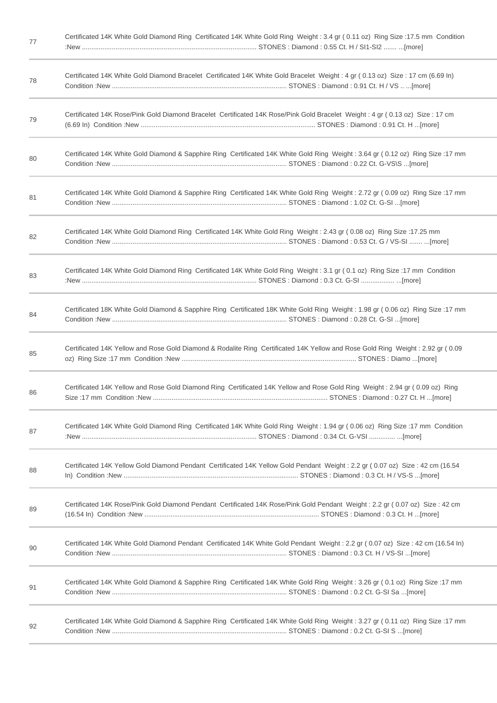| 77 | Certificated 14K White Gold Diamond Ring Certificated 14K White Gold Ring Weight: 3.4 gr (0.11 oz) Ring Size: 17.5 mm Condition |
|----|---------------------------------------------------------------------------------------------------------------------------------|
| 78 | Certificated 14K White Gold Diamond Bracelet Certificated 14K White Gold Bracelet Weight: 4 gr (0.13 oz) Size: 17 cm (6.69 ln)  |
| 79 | Certificated 14K Rose/Pink Gold Diamond Bracelet Certificated 14K Rose/Pink Gold Bracelet Weight: 4 gr (0.13 oz) Size: 17 cm    |
| 80 | Certificated 14K White Gold Diamond & Sapphire Ring Certificated 14K White Gold Ring Weight: 3.64 gr (0.12 oz) Ring Size: 17 mm |
| 81 | Certificated 14K White Gold Diamond & Sapphire Ring Certificated 14K White Gold Ring Weight: 2.72 gr (0.09 oz) Ring Size: 17 mm |
| 82 | Certificated 14K White Gold Diamond Ring Certificated 14K White Gold Ring Weight: 2.43 gr (0.08 oz) Ring Size:17.25 mm          |
| 83 | Certificated 14K White Gold Diamond Ring Certificated 14K White Gold Ring Weight: 3.1 gr (0.1 oz) Ring Size: 17 mm Condition    |
| 84 | Certificated 18K White Gold Diamond & Sapphire Ring Certificated 18K White Gold Ring Weight: 1.98 gr (0.06 oz) Ring Size: 17 mm |
| 85 | Certificated 14K Yellow and Rose Gold Diamond & Rodalite Ring Certificated 14K Yellow and Rose Gold Ring Weight: 2.92 gr (0.09  |
| 86 | Certificated 14K Yellow and Rose Gold Diamond Ring Certificated 14K Yellow and Rose Gold Ring Weight: 2.94 gr (0.09 oz) Ring    |
| 87 | Certificated 14K White Gold Diamond Ring Certificated 14K White Gold Ring Weight: 1.94 gr (0.06 oz) Ring Size:17 mm Condition   |
| 88 | Certificated 14K Yellow Gold Diamond Pendant Certificated 14K Yellow Gold Pendant Weight: 2.2 gr (0.07 oz) Size: 42 cm (16.54   |
| 89 | Certificated 14K Rose/Pink Gold Diamond Pendant Certificated 14K Rose/Pink Gold Pendant Weight: 2.2 gr (0.07 oz) Size: 42 cm    |
| 90 | Certificated 14K White Gold Diamond Pendant Certificated 14K White Gold Pendant Weight: 2.2 gr (0.07 oz) Size: 42 cm (16.54 ln) |
| 91 | Certificated 14K White Gold Diamond & Sapphire Ring Certificated 14K White Gold Ring Weight: 3.26 gr (0.1 oz) Ring Size: 17 mm  |
| 92 | Certificated 14K White Gold Diamond & Sapphire Ring Certificated 14K White Gold Ring Weight: 3.27 gr (0.11 oz) Ring Size: 17 mm |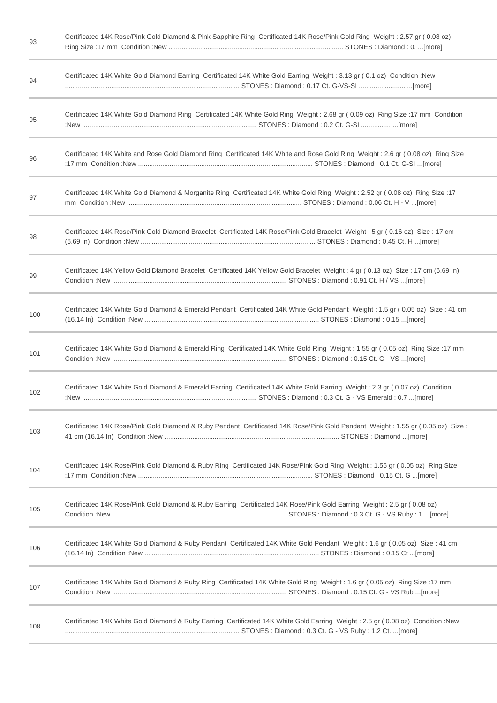| 93  | Certificated 14K Rose/Pink Gold Diamond & Pink Sapphire Ring Certificated 14K Rose/Pink Gold Ring Weight: 2.57 gr (0.08 oz)      |
|-----|----------------------------------------------------------------------------------------------------------------------------------|
| 94  | Certificated 14K White Gold Diamond Earring Certificated 14K White Gold Earring Weight: 3.13 gr (0.1 oz) Condition :New          |
| 95  | Certificated 14K White Gold Diamond Ring Certificated 14K White Gold Ring Weight: 2.68 gr (0.09 oz) Ring Size:17 mm Condition    |
| 96  | Certificated 14K White and Rose Gold Diamond Ring Certificated 14K White and Rose Gold Ring Weight: 2.6 gr (0.08 oz) Ring Size   |
| 97  | Certificated 14K White Gold Diamond & Morganite Ring Certificated 14K White Gold Ring Weight: 2.52 gr (0.08 oz) Ring Size:17     |
| 98  | Certificated 14K Rose/Pink Gold Diamond Bracelet Certificated 14K Rose/Pink Gold Bracelet Weight: 5 gr (0.16 oz) Size: 17 cm     |
| 99  | Certificated 14K Yellow Gold Diamond Bracelet Certificated 14K Yellow Gold Bracelet Weight: 4 gr (0.13 oz) Size: 17 cm (6.69 In) |
| 100 | Certificated 14K White Gold Diamond & Emerald Pendant Certificated 14K White Gold Pendant Weight: 1.5 gr (0.05 oz) Size: 41 cm   |
| 101 | Certificated 14K White Gold Diamond & Emerald Ring Certificated 14K White Gold Ring Weight: 1.55 gr (0.05 oz) Ring Size: 17 mm   |
| 102 | Certificated 14K White Gold Diamond & Emerald Earring Certificated 14K White Gold Earring Weight: 2.3 gr (0.07 oz) Condition     |
| 103 | Certificated 14K Rose/Pink Gold Diamond & Ruby Pendant Certificated 14K Rose/Pink Gold Pendant Weight: 1.55 gr (0.05 oz) Size:   |
| 104 | Certificated 14K Rose/Pink Gold Diamond & Ruby Ring Certificated 14K Rose/Pink Gold Ring Weight: 1.55 gr (0.05 oz) Ring Size     |
| 105 | Certificated 14K Rose/Pink Gold Diamond & Ruby Earring Certificated 14K Rose/Pink Gold Earring Weight: 2.5 gr (0.08 oz)          |
| 106 | Certificated 14K White Gold Diamond & Ruby Pendant Certificated 14K White Gold Pendant Weight: 1.6 gr (0.05 oz) Size: 41 cm      |
| 107 | Certificated 14K White Gold Diamond & Ruby Ring Certificated 14K White Gold Ring Weight: 1.6 gr (0.05 oz) Ring Size: 17 mm       |
| 108 | Certificated 14K White Gold Diamond & Ruby Earring Certificated 14K White Gold Earring Weight: 2.5 gr (0.08 oz) Condition: New   |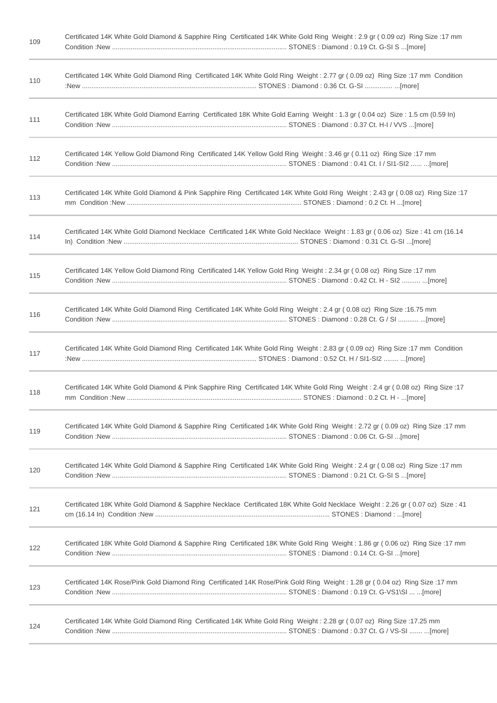| 109 | Certificated 14K White Gold Diamond & Sapphire Ring Certificated 14K White Gold Ring Weight: 2.9 gr (0.09 oz) Ring Size: 17 mm   |
|-----|----------------------------------------------------------------------------------------------------------------------------------|
| 110 | Certificated 14K White Gold Diamond Ring Certificated 14K White Gold Ring Weight: 2.77 gr (0.09 oz) Ring Size:17 mm Condition    |
| 111 | Certificated 18K White Gold Diamond Earring Certificated 18K White Gold Earring Weight: 1.3 gr (0.04 oz) Size: 1.5 cm (0.59 ln)  |
| 112 | Certificated 14K Yellow Gold Diamond Ring Certificated 14K Yellow Gold Ring Weight: 3.46 gr (0.11 oz) Ring Size:17 mm            |
| 113 | Certificated 14K White Gold Diamond & Pink Sapphire Ring Certificated 14K White Gold Ring Weight: 2.43 gr (0.08 oz) Ring Size:17 |
| 114 | Certificated 14K White Gold Diamond Necklace Certificated 14K White Gold Necklace Weight: 1.83 gr (0.06 oz) Size: 41 cm (16.14   |
| 115 | Certificated 14K Yellow Gold Diamond Ring Certificated 14K Yellow Gold Ring Weight: 2.34 gr (0.08 oz) Ring Size:17 mm            |
| 116 | Certificated 14K White Gold Diamond Ring Certificated 14K White Gold Ring Weight: 2.4 gr (0.08 oz) Ring Size:16.75 mm            |
| 117 | Certificated 14K White Gold Diamond Ring Certificated 14K White Gold Ring Weight: 2.83 gr (0.09 oz) Ring Size:17 mm Condition    |
| 118 | Certificated 14K White Gold Diamond & Pink Sapphire Ring Certificated 14K White Gold Ring Weight: 2.4 gr (0.08 oz) Ring Size:17  |
| 119 | Certificated 14K White Gold Diamond & Sapphire Ring Certificated 14K White Gold Ring Weight: 2.72 gr (0.09 oz) Ring Size: 17 mm  |
| 120 | Certificated 14K White Gold Diamond & Sapphire Ring Certificated 14K White Gold Ring Weight: 2.4 gr (0.08 oz) Ring Size: 17 mm   |
| 121 | Certificated 18K White Gold Diamond & Sapphire Necklace Certificated 18K White Gold Necklace Weight: 2.26 gr (0.07 oz) Size: 41  |
| 122 | Certificated 18K White Gold Diamond & Sapphire Ring Certificated 18K White Gold Ring Weight: 1.86 gr (0.06 oz) Ring Size: 17 mm  |
| 123 | Certificated 14K Rose/Pink Gold Diamond Ring Certificated 14K Rose/Pink Gold Ring Weight: 1.28 gr (0.04 oz) Ring Size: 17 mm     |
| 124 | Certificated 14K White Gold Diamond Ring Certificated 14K White Gold Ring Weight: 2.28 gr (0.07 oz) Ring Size:17.25 mm           |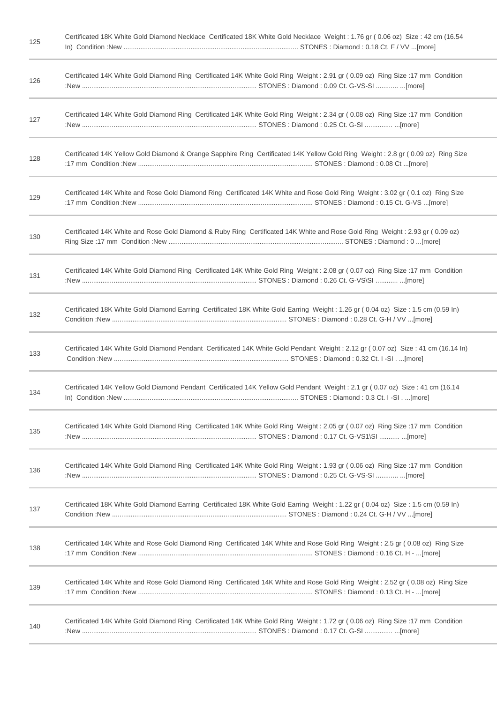| 125 | Certificated 18K White Gold Diamond Necklace Certificated 18K White Gold Necklace Weight: 1.76 gr (0.06 oz) Size: 42 cm (16.54   |
|-----|----------------------------------------------------------------------------------------------------------------------------------|
| 126 | Certificated 14K White Gold Diamond Ring Certificated 14K White Gold Ring Weight: 2.91 gr (0.09 oz) Ring Size:17 mm Condition    |
| 127 | Certificated 14K White Gold Diamond Ring Certificated 14K White Gold Ring Weight: 2.34 gr (0.08 oz) Ring Size:17 mm Condition    |
| 128 | Certificated 14K Yellow Gold Diamond & Orange Sapphire Ring Certificated 14K Yellow Gold Ring Weight: 2.8 gr (0.09 oz) Ring Size |
| 129 | Certificated 14K White and Rose Gold Diamond Ring Certificated 14K White and Rose Gold Ring Weight: 3.02 gr (0.1 oz) Ring Size   |
| 130 | Certificated 14K White and Rose Gold Diamond & Ruby Ring Certificated 14K White and Rose Gold Ring Weight: 2.93 gr (0.09 oz)     |
| 131 | Certificated 14K White Gold Diamond Ring Certificated 14K White Gold Ring Weight: 2.08 gr (0.07 oz) Ring Size:17 mm Condition    |
| 132 | Certificated 18K White Gold Diamond Earring Certificated 18K White Gold Earring Weight: 1.26 gr (0.04 oz) Size: 1.5 cm (0.59 In) |
| 133 | Certificated 14K White Gold Diamond Pendant Certificated 14K White Gold Pendant Weight: 2.12 gr (0.07 oz) Size: 41 cm (16.14 ln) |
| 134 | Certificated 14K Yellow Gold Diamond Pendant Certificated 14K Yellow Gold Pendant Weight: 2.1 gr (0.07 oz) Size: 41 cm (16.14    |
| 135 | Certificated 14K White Gold Diamond Ring Certificated 14K White Gold Ring Weight: 2.05 gr (0.07 oz) Ring Size:17 mm Condition    |
| 136 | Certificated 14K White Gold Diamond Ring Certificated 14K White Gold Ring Weight: 1.93 gr (0.06 oz) Ring Size:17 mm Condition    |
| 137 | Certificated 18K White Gold Diamond Earring Certificated 18K White Gold Earring Weight: 1.22 gr (0.04 oz) Size: 1.5 cm (0.59 ln) |
| 138 | Certificated 14K White and Rose Gold Diamond Ring Certificated 14K White and Rose Gold Ring Weight: 2.5 gr (0.08 oz) Ring Size   |
| 139 | Certificated 14K White and Rose Gold Diamond Ring Certificated 14K White and Rose Gold Ring Weight: 2.52 gr (0.08 oz) Ring Size  |
| 140 | Certificated 14K White Gold Diamond Ring Certificated 14K White Gold Ring Weight: 1.72 gr (0.06 oz) Ring Size: 17 mm Condition   |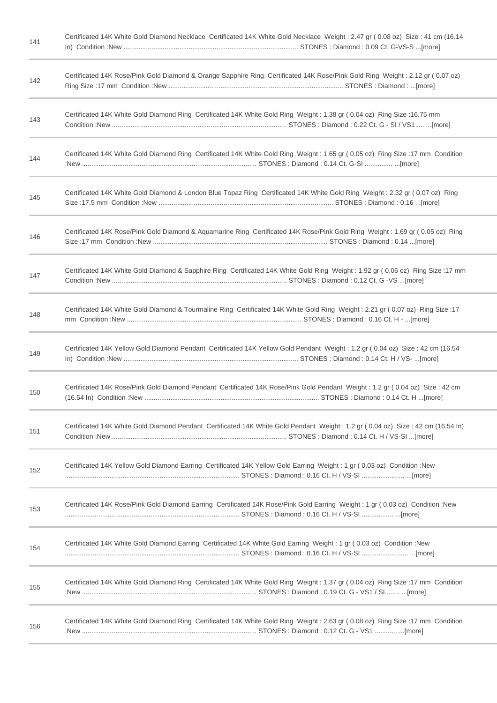| 141 | Certificated 14K White Gold Diamond Necklace Certificated 14K White Gold Necklace Weight: 2.47 gr (0.08 oz) Size: 41 cm (16.14  |
|-----|---------------------------------------------------------------------------------------------------------------------------------|
| 142 | Certificated 14K Rose/Pink Gold Diamond & Orange Sapphire Ring Certificated 14K Rose/Pink Gold Ring Weight: 2.12 gr (0.07 oz)   |
| 143 | Certificated 14K White Gold Diamond Ring Certificated 14K White Gold Ring Weight: 1.38 gr (0.04 oz) Ring Size:16.75 mm          |
| 144 | Certificated 14K White Gold Diamond Ring Certificated 14K White Gold Ring Weight: 1.65 gr (0.05 oz) Ring Size:17 mm Condition   |
| 145 | Certificated 14K White Gold Diamond & London Blue Topaz Ring Certificated 14K White Gold Ring Weight: 2.32 gr (0.07 oz) Ring    |
| 146 | Certificated 14K Rose/Pink Gold Diamond & Aquamarine Ring Certificated 14K Rose/Pink Gold Ring Weight: 1.69 gr (0.05 oz) Ring   |
| 147 | Certificated 14K White Gold Diamond & Sapphire Ring Certificated 14K White Gold Ring Weight: 1.92 gr (0.06 oz) Ring Size: 17 mm |
| 148 | Certificated 14K White Gold Diamond & Tourmaline Ring Certificated 14K White Gold Ring Weight: 2.21 gr (0.07 oz) Ring Size:17   |
| 149 | Certificated 14K Yellow Gold Diamond Pendant Certificated 14K Yellow Gold Pendant Weight: 1.2 gr (0.04 oz) Size: 42 cm (16.54   |
| 150 | Certificated 14K Rose/Pink Gold Diamond Pendant Certificated 14K Rose/Pink Gold Pendant Weight: 1.2 gr (0.04 oz) Size: 42 cm    |
| 151 | Certificated 14K White Gold Diamond Pendant Certificated 14K White Gold Pendant Weight: 1.2 gr (0.04 oz) Size: 42 cm (16.54 ln) |
| 152 | Certificated 14K Yellow Gold Diamond Earring Certificated 14K Yellow Gold Earring Weight: 1 gr (0.03 oz) Condition: New         |
| 153 | Certificated 14K Rose/Pink Gold Diamond Earring Certificated 14K Rose/Pink Gold Earring Weight: 1 gr (0.03 oz) Condition: New   |
| 154 | Certificated 14K White Gold Diamond Earring Certificated 14K White Gold Earring Weight: 1 gr (0.03 oz) Condition: New           |
| 155 | Certificated 14K White Gold Diamond Ring Certificated 14K White Gold Ring Weight: 1.37 gr (0.04 oz) Ring Size:17 mm Condition   |
| 156 | Certificated 14K White Gold Diamond Ring Certificated 14K White Gold Ring Weight: 2.63 gr (0.08 oz) Ring Size:17 mm Condition   |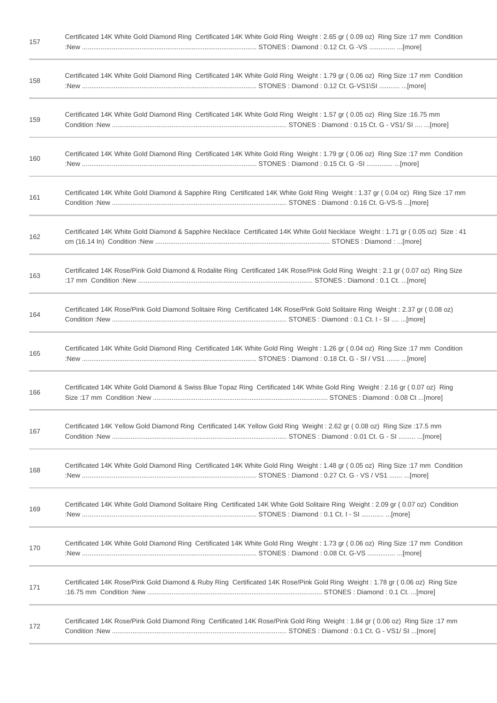| 157 | Certificated 14K White Gold Diamond Ring Certificated 14K White Gold Ring Weight: 2.65 gr (0.09 oz) Ring Size:17 mm Condition     |
|-----|-----------------------------------------------------------------------------------------------------------------------------------|
| 158 | Certificated 14K White Gold Diamond Ring Certificated 14K White Gold Ring Weight: 1.79 gr (0.06 oz) Ring Size: 17 mm Condition    |
| 159 | Certificated 14K White Gold Diamond Ring Certificated 14K White Gold Ring Weight: 1.57 gr (0.05 oz) Ring Size:16.75 mm            |
| 160 | Certificated 14K White Gold Diamond Ring Certificated 14K White Gold Ring Weight: 1.79 gr (0.06 oz) Ring Size: 17 mm Condition    |
| 161 | Certificated 14K White Gold Diamond & Sapphire Ring Certificated 14K White Gold Ring Weight: 1.37 gr (0.04 oz) Ring Size: 17 mm   |
| 162 | Certificated 14K White Gold Diamond & Sapphire Necklace Certificated 14K White Gold Necklace Weight: 1.71 gr (0.05 oz) Size: 41   |
| 163 | Certificated 14K Rose/Pink Gold Diamond & Rodalite Ring Certificated 14K Rose/Pink Gold Ring Weight: 2.1 gr (0.07 oz) Ring Size   |
| 164 | Certificated 14K Rose/Pink Gold Diamond Solitaire Ring Certificated 14K Rose/Pink Gold Solitaire Ring Weight: 2.37 gr (0.08 oz)   |
| 165 | Certificated 14K White Gold Diamond Ring Certificated 14K White Gold Ring Weight: 1.26 gr (0.04 oz) Ring Size:17 mm Condition     |
| 166 | Certificated 14K White Gold Diamond & Swiss Blue Topaz Ring Certificated 14K White Gold Ring Weight: 2.16 gr (0.07 oz) Ring       |
| 167 | Certificated 14K Yellow Gold Diamond Ring Certificated 14K Yellow Gold Ring Weight: 2.62 gr (0.08 oz) Ring Size:17.5 mm           |
| 168 | Certificated 14K White Gold Diamond Ring Certificated 14K White Gold Ring Weight: 1.48 gr (0.05 oz) Ring Size:17 mm Condition     |
| 169 | Certificated 14K White Gold Diamond Solitaire Ring Certificated 14K White Gold Solitaire Ring Weight: 2.09 gr (0.07 oz) Condition |
| 170 | Certificated 14K White Gold Diamond Ring Certificated 14K White Gold Ring Weight: 1.73 gr (0.06 oz) Ring Size: 17 mm Condition    |
| 171 | Certificated 14K Rose/Pink Gold Diamond & Ruby Ring Certificated 14K Rose/Pink Gold Ring Weight: 1.78 gr (0.06 oz) Ring Size      |
| 172 | Certificated 14K Rose/Pink Gold Diamond Ring Certificated 14K Rose/Pink Gold Ring Weight: 1.84 gr (0.06 oz) Ring Size: 17 mm      |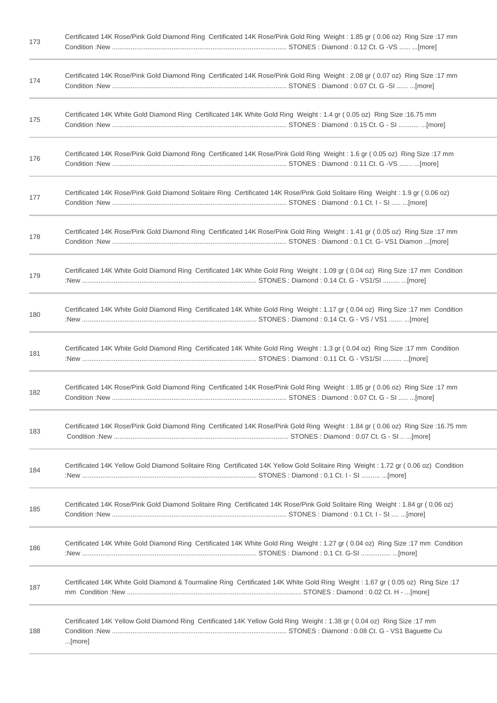| 173 | Certificated 14K Rose/Pink Gold Diamond Ring Certificated 14K Rose/Pink Gold Ring Weight: 1.85 gr (0.06 oz) Ring Size: 17 mm        |
|-----|-------------------------------------------------------------------------------------------------------------------------------------|
| 174 | Certificated 14K Rose/Pink Gold Diamond Ring Certificated 14K Rose/Pink Gold Ring Weight: 2.08 gr (0.07 oz) Ring Size: 17 mm        |
| 175 | Certificated 14K White Gold Diamond Ring Certificated 14K White Gold Ring Weight: 1.4 gr (0.05 oz) Ring Size:16.75 mm               |
| 176 | Certificated 14K Rose/Pink Gold Diamond Ring Certificated 14K Rose/Pink Gold Ring Weight: 1.6 gr (0.05 oz) Ring Size: 17 mm         |
| 177 | Certificated 14K Rose/Pink Gold Diamond Solitaire Ring Certificated 14K Rose/Pink Gold Solitaire Ring Weight: 1.9 gr (0.06 oz)      |
| 178 | Certificated 14K Rose/Pink Gold Diamond Ring Certificated 14K Rose/Pink Gold Ring Weight: 1.41 gr (0.05 oz) Ring Size: 17 mm        |
| 179 | Certificated 14K White Gold Diamond Ring Certificated 14K White Gold Ring Weight: 1.09 gr (0.04 oz) Ring Size: 17 mm Condition      |
| 180 | Certificated 14K White Gold Diamond Ring Certificated 14K White Gold Ring Weight: 1.17 gr (0.04 oz) Ring Size:17 mm Condition       |
| 181 | Certificated 14K White Gold Diamond Ring Certificated 14K White Gold Ring Weight: 1.3 gr (0.04 oz) Ring Size:17 mm Condition        |
| 182 | Certificated 14K Rose/Pink Gold Diamond Ring Certificated 14K Rose/Pink Gold Ring Weight: 1.85 gr (0.06 oz) Ring Size: 17 mm        |
| 183 | Certificated 14K Rose/Pink Gold Diamond Ring Certificated 14K Rose/Pink Gold Ring Weight: 1.84 gr (0.06 oz) Ring Size: 16.75 mm     |
| 184 | Certificated 14K Yellow Gold Diamond Solitaire Ring Certificated 14K Yellow Gold Solitaire Ring Weight: 1.72 gr (0.06 oz) Condition |
| 185 | Certificated 14K Rose/Pink Gold Diamond Solitaire Ring Certificated 14K Rose/Pink Gold Solitaire Ring Weight: 1.84 gr (0.06 oz)     |
| 186 | Certificated 14K White Gold Diamond Ring Certificated 14K White Gold Ring Weight: 1.27 gr (0.04 oz) Ring Size:17 mm Condition       |
| 187 | 17: Certificated 14K White Gold Diamond & Tourmaline Ring Certificated 14K White Gold Ring Weight: 1.67 gr (0.05 oz) Ring Size      |
| 188 | Certificated 14K Yellow Gold Diamond Ring Certificated 14K Yellow Gold Ring Weight: 1.38 gr (0.04 oz) Ring Size: 17 mm<br>[more]    |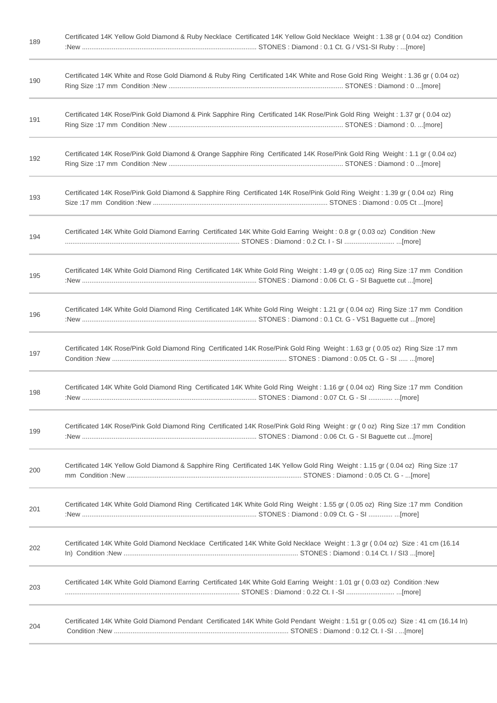| 189 | Certificated 14K Yellow Gold Diamond & Ruby Necklace Certificated 14K Yellow Gold Necklace Weight: 1.38 gr (0.04 oz) Condition   |
|-----|----------------------------------------------------------------------------------------------------------------------------------|
| 190 | Certificated 14K White and Rose Gold Diamond & Ruby Ring Certificated 14K White and Rose Gold Ring Weight: 1.36 gr (0.04 oz)     |
| 191 | Certificated 14K Rose/Pink Gold Diamond & Pink Sapphire Ring Certificated 14K Rose/Pink Gold Ring Weight: 1.37 gr (0.04 oz)      |
| 192 | Certificated 14K Rose/Pink Gold Diamond & Orange Sapphire Ring Certificated 14K Rose/Pink Gold Ring Weight: 1.1 gr (0.04 oz)     |
| 193 | Certificated 14K Rose/Pink Gold Diamond & Sapphire Ring Certificated 14K Rose/Pink Gold Ring Weight: 1.39 gr (0.04 oz) Ring      |
| 194 | Certificated 14K White Gold Diamond Earring Certificated 14K White Gold Earring Weight: 0.8 gr (0.03 oz) Condition: New          |
| 195 | Certificated 14K White Gold Diamond Ring Certificated 14K White Gold Ring Weight: 1.49 gr (0.05 oz) Ring Size:17 mm Condition    |
| 196 | Certificated 14K White Gold Diamond Ring Certificated 14K White Gold Ring Weight: 1.21 gr (0.04 oz) Ring Size:17 mm Condition    |
| 197 | Certificated 14K Rose/Pink Gold Diamond Ring Certificated 14K Rose/Pink Gold Ring Weight: 1.63 gr (0.05 oz) Ring Size: 17 mm     |
| 198 | Certificated 14K White Gold Diamond Ring Certificated 14K White Gold Ring Weight: 1.16 gr (0.04 oz) Ring Size:17 mm Condition    |
| 199 | Certificated 14K Rose/Pink Gold Diamond Ring Certificated 14K Rose/Pink Gold Ring Weight: gr (0 oz) Ring Size:17 mm Condition    |
| 200 | Certificated 14K Yellow Gold Diamond & Sapphire Ring Certificated 14K Yellow Gold Ring Weight: 1.15 gr (0.04 oz) Ring Size:17    |
| 201 | Certificated 14K White Gold Diamond Ring Certificated 14K White Gold Ring Weight: 1.55 gr (0.05 oz) Ring Size:17 mm Condition    |
| 202 | Certificated 14K White Gold Diamond Necklace Certificated 14K White Gold Necklace Weight: 1.3 gr (0.04 oz) Size: 41 cm (16.14    |
| 203 | Certificated 14K White Gold Diamond Earring Certificated 14K White Gold Earring Weight: 1.01 gr (0.03 oz) Condition: New         |
| 204 | Certificated 14K White Gold Diamond Pendant Certificated 14K White Gold Pendant Weight: 1.51 gr (0.05 oz) Size: 41 cm (16.14 ln) |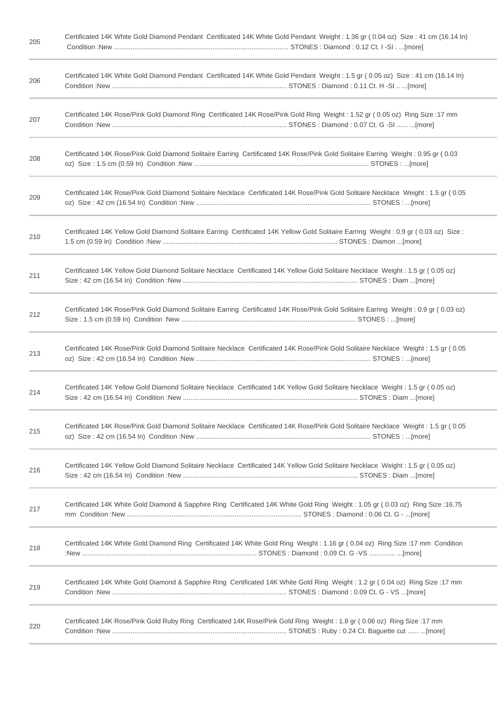| 206 | Certificated 14K White Gold Diamond Pendant Certificated 14K White Gold Pendant Weight: 1.5 gr (0.05 oz) Size: 41 cm (16.14 ln)      |
|-----|--------------------------------------------------------------------------------------------------------------------------------------|
| 207 | Certificated 14K Rose/Pink Gold Diamond Ring Certificated 14K Rose/Pink Gold Ring Weight: 1.52 gr (0.05 oz) Ring Size: 17 mm         |
| 208 | Certificated 14K Rose/Pink Gold Diamond Solitaire Earring Certificated 14K Rose/Pink Gold Solitaire Earring Weight: 0.95 gr (0.03    |
| 209 | Certificated 14K Rose/Pink Gold Diamond Solitaire Necklace Certificated 14K Rose/Pink Gold Solitaire Necklace Weight: 1.5 gr (0.05)  |
| 210 | Certificated 14K Yellow Gold Diamond Solitaire Earring Certificated 14K Yellow Gold Solitaire Earring Weight: 0.9 gr (0.03 oz) Size: |
| 211 | Certificated 14K Yellow Gold Diamond Solitaire Necklace Certificated 14K Yellow Gold Solitaire Necklace Weight: 1.5 gr (0.05 oz)     |
| 212 | Certificated 14K Rose/Pink Gold Diamond Solitaire Earring Certificated 14K Rose/Pink Gold Solitaire Earring Weight: 0.9 gr (0.03 oz) |
| 213 | Certificated 14K Rose/Pink Gold Diamond Solitaire Necklace Certificated 14K Rose/Pink Gold Solitaire Necklace Weight: 1.5 gr (0.05   |
| 214 | Certificated 14K Yellow Gold Diamond Solitaire Necklace Certificated 14K Yellow Gold Solitaire Necklace Weight: 1.5 gr (0.05 oz)     |
| 215 | Certificated 14K Rose/Pink Gold Diamond Solitaire Necklace Certificated 14K Rose/Pink Gold Solitaire Necklace Weight: 1.5 gr (0.05)  |
| 216 | Certificated 14K Yellow Gold Diamond Solitaire Necklace Certificated 14K Yellow Gold Solitaire Necklace Weight: 1.5 gr (0.05 oz)     |
| 217 | Certificated 14K White Gold Diamond & Sapphire Ring Certificated 14K White Gold Ring Weight: 1.05 gr (0.03 oz) Ring Size:16.75       |
| 218 | Certificated 14K White Gold Diamond Ring Certificated 14K White Gold Ring Weight: 1.16 gr (0.04 oz) Ring Size:17 mm Condition        |
| 219 | Certificated 14K White Gold Diamond & Sapphire Ring Certificated 14K White Gold Ring Weight: 1.2 gr (0.04 oz) Ring Size: 17 mm       |
| 220 | Certificated 14K Rose/Pink Gold Ruby Ring Certificated 14K Rose/Pink Gold Ring Weight: 1.8 gr (0.06 oz) Ring Size: 17 mm             |